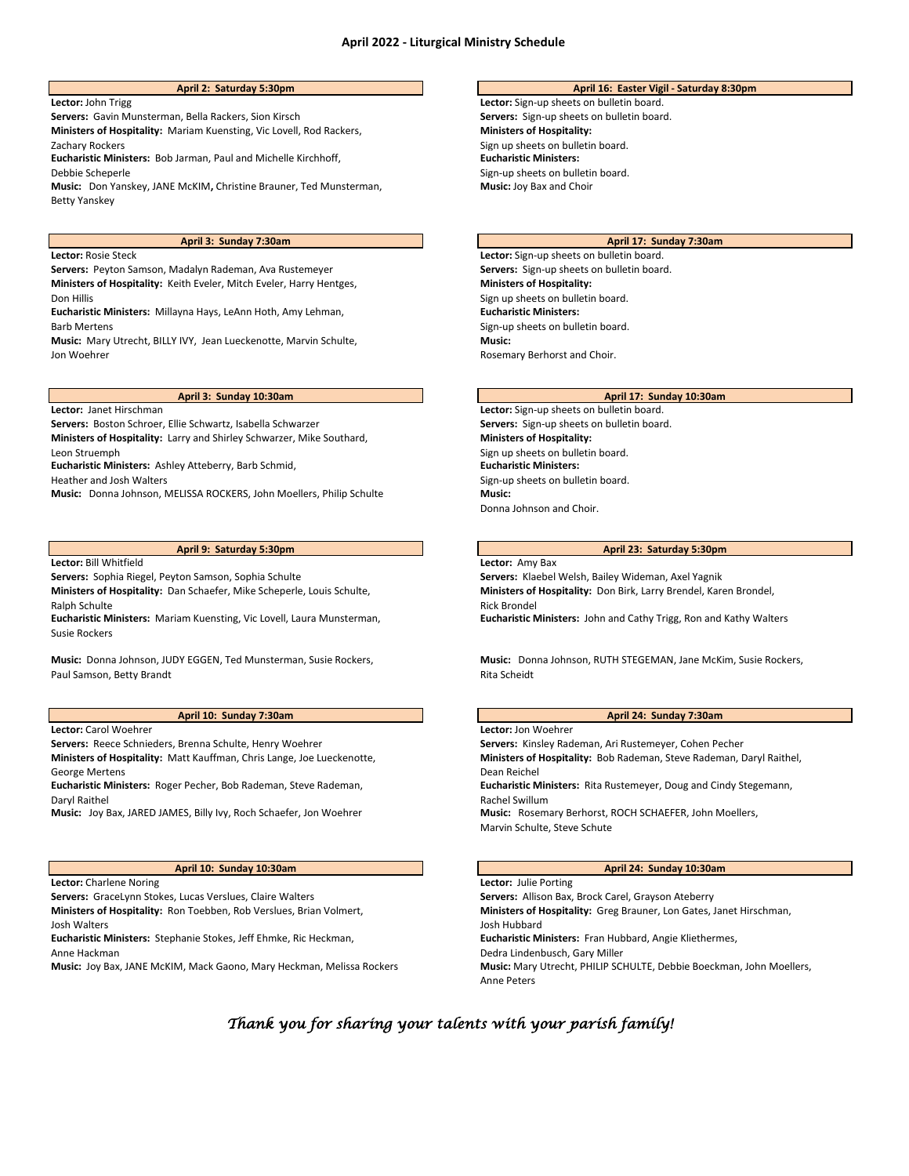**Lector:** John Trigg **Lector:** Sign-up sheets on bulletin board. **Servers:** Gavin Munsterman, Bella Rackers, Sion Kirsch **Servers:** Sign-up sheets on bulletin board. **Ministers of Hospitality:** Mariam Kuensting, Vic Lovell, Rod Rackers, Zachary Rockers **Eucharistic Ministers:** Bob Jarman, Paul and Michelle Kirchhoff, Debbie Scheperle **Music:** Don Yanskey, JANE McKIM**,** Christine Brauner, Ted Munsterman, Betty Yanskey

**Ministers of Hospitality:** Keith Eveler, Mitch Eveler, Harry Hentges, Don Hillis **Eucharistic Ministers:** Millayna Hays, LeAnn Hoth, Amy Lehman,

Barb Mertens

**Music:** Mary Utrecht, BILLY IVY, Jean Lueckenotte, Marvin Schulte, Jon Woehrer

Servers: Boston Schroer, Ellie Schwartz, Isabella Schwarzer **Servers: Servers: Sign-up sheets on bulletin board. Ministers of Hospitality:** Larry and Shirley Schwarzer, Mike Southard, Leon Struemph

**Eucharistic Ministers:** Ashley Atteberry, Barb Schmid,

Heather and Josh Walters

**Music:** Donna Johnson, MELISSA ROCKERS, John Moellers, Philip Schulte **Music: Music:** 

### **Lector:** Bill Whitfield **Lector:** Amy Bax

**Ministers of Hospitality:** Dan Schaefer, Mike Scheperle, Louis Schulte, Ralph Schulte

**Eucharistic Ministers:** Mariam Kuensting, Vic Lovell, Laura Munsterman, Susie Rockers

**Music:** Donna Johnson, JUDY EGGEN, Ted Munsterman, Susie Rockers, Paul Samson, Betty Brandt

### **April 10: Sunday 7:30am April 24: Sunday 7:30am**

**Lector:** Carol Woehrer **Lector:** Jon Woehrer

**Ministers of Hospitality:** Matt Kauffman, Chris Lange, Joe Lueckenotte, George Mertens

**Eucharistic Ministers:** Roger Pecher, Bob Rademan, Steve Rademan,

Daryl Raithel

**Music:** Joy Bax, JARED JAMES, Billy Ivy, Roch Schaefer, Jon Woehrer **Music:** Rosemary Berhorst, ROCH SCHAEFER, John Moellers,

**Lector:** Charlene Noring **Lector:** Julie Porting

**Ministers of Hospitality:** Ron Toebben, Rob Verslues, Brian Volmert, Josh Walters

**Eucharistic Ministers:** Stephanie Stokes, Jeff Ehmke, Ric Heckman,

Anne Hackman

**Music:** Joy Bax, JANE McKIM, Mack Gaono, Mary Heckman, Melissa Rockers

# **April 2: Saturday 5:30pm April 16: Easter Vigil - Saturday 8:30pm**

**Ministers of Hospitality:**  Sign up sheets on bulletin board. **Eucharistic Ministers:**  Sign-up sheets on bulletin board. **Music:** Joy Bax and Choir

### **April 3: Sunday 7:30am April 17: Sunday 7:30am**

**Lector:** Rosie Steck **Lector:** Sign-up sheets on bulletin board. Servers: Peyton Samson, Madalyn Rademan, Ava Rustemeyer **Servers: Sign-up sheets on bulletin board. Ministers of Hospitality:**  Sign up sheets on bulletin board. **Eucharistic Ministers:**  Sign-up sheets on bulletin board. **Music:**  Rosemary Berhorst and Choir.

### **April 3: Sunday 10:30am April 17: Sunday 10:30am**

**Lector:** Janet Hirschman **Lector:** Sign-up sheets on bulletin board. **Ministers of Hospitality:**  Sign up sheets on bulletin board. **Eucharistic Ministers:**  Sign-up sheets on bulletin board. Donna Johnson and Choir.

## **April 9: Saturday 5:30pm April 23: Saturday 5:30pm**

**Servers:** Sophia Riegel, Peyton Samson, Sophia Schulte **Servers:** Klaebel Welsh, Bailey Wideman, Axel Yagnik **Ministers of Hospitality:** Don Birk, Larry Brendel, Karen Brondel, Rick Brondel **Eucharistic Ministers:** John and Cathy Trigg, Ron and Kathy Walters

> **Music:** Donna Johnson, RUTH STEGEMAN, Jane McKim, Susie Rockers, Rita Scheidt

**Servers:** Reece Schnieders, Brenna Schulte, Henry Woehrer **Servers:** Kinsley Rademan, Ari Rustemeyer, Cohen Pecher **Ministers of Hospitality:** Bob Rademan, Steve Rademan, Daryl Raithel, Dean Reichel **Eucharistic Ministers:** Rita Rustemeyer, Doug and Cindy Stegemann, Rachel Swillum Marvin Schulte, Steve Schute

### **April 10: Sunday 10:30am April 24: Sunday 10:30am**

**Servers:** GraceLynn Stokes, Lucas Verslues, Claire Walters **Servers:** Allison Bax, Brock Carel, Grayson Ateberry **Ministers of Hospitality:** Greg Brauner, Lon Gates, Janet Hirschman, Josh Hubbard **Eucharistic Ministers:** Fran Hubbard, Angie Kliethermes, Dedra Lindenbusch, Gary Miller<br>Music: Mary Utrecht, PHILIP SCHULTE, Debbie Boeckman, John Moellers, Anne Peters

# *Thank you for sharing your talents with your parish family!*